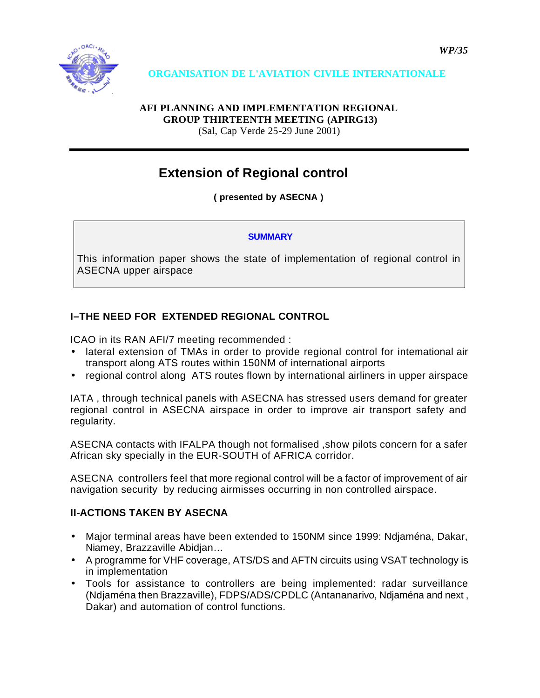

## **AFI PLANNING AND IMPLEMENTATION REGIONAL GROUP THIRTEENTH MEETING (APIRG13)**

(Sal, Cap Verde 25-29 June 2001)

# **Extension of Regional control**

**( presented by ASECNA )** 

### **SUMMARY**

This information paper shows the state of implementation of regional control in ASECNA upper airspace

# **I–THE NEED FOR EXTENDED REGIONAL CONTROL**

ICAO in its RAN AFI/7 meeting recommended :

- lateral extension of TMAs in order to provide regional control for intemational air transport along ATS routes within 150NM of international airports
- regional control along ATS routes flown by international airliners in upper airspace

IATA , through technical panels with ASECNA has stressed users demand for greater regional control in ASECNA airspace in order to improve air transport safety and regularity.

ASECNA contacts with IFALPA though not formalised ,show pilots concern for a safer African sky specially in the EUR-SOUTH of AFRICA corridor.

ASECNA controllers feel that more regional control will be a factor of improvement of air navigation security by reducing airmisses occurring in non controlled airspace.

## **II-ACTIONS TAKEN BY ASECNA**

- Major terminal areas have been extended to 150NM since 1999: Ndjaména, Dakar, Niamey, Brazzaville Abidjan…
- A programme for VHF coverage, ATS/DS and AFTN circuits using VSAT technology is in implementation
- Tools for assistance to controllers are being implemented: radar surveillance (Ndjaména then Brazzaville), FDPS/ADS/CPDLC (Antananarivo, Ndjaména and next , Dakar) and automation of control functions.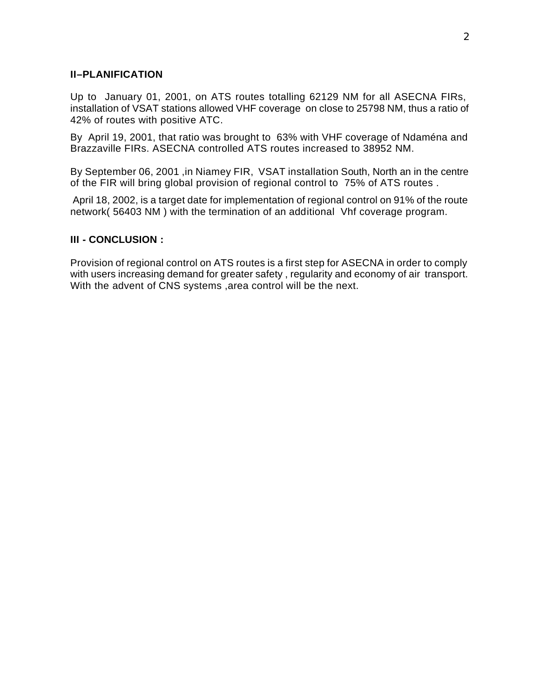#### **II–PLANIFICATION**

Up to January 01, 2001, on ATS routes totalling 62129 NM for all ASECNA FIRs, installation of VSAT stations allowed VHF coverage on close to 25798 NM, thus a ratio of 42% of routes with positive ATC.

By April 19, 2001, that ratio was brought to 63% with VHF coverage of Ndaména and Brazzaville FIRs. ASECNA controlled ATS routes increased to 38952 NM.

By September 06, 2001 ,in Niamey FIR, VSAT installation South, North an in the centre of the FIR will bring global provision of regional control to 75% of ATS routes .

 April 18, 2002, is a target date for implementation of regional control on 91% of the route network( 56403 NM ) with the termination of an additional Vhf coverage program.

#### **III - CONCLUSION :**

Provision of regional control on ATS routes is a first step for ASECNA in order to comply with users increasing demand for greater safety , regularity and economy of air transport. With the advent of CNS systems ,area control will be the next.